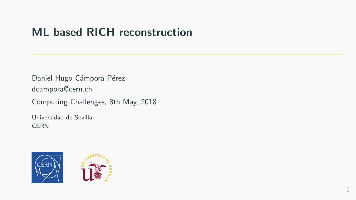# ML based RICH reconstruction

Daniel Hugo Cámpora Pérez dcampora@cern.ch

Computing Challenges, 8th May, 2018

Universidad de Sevilla **CERN** 



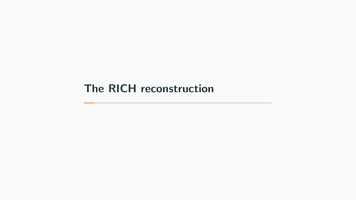## <span id="page-1-0"></span>[The RICH reconstruction](#page-1-0)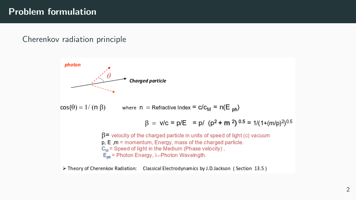### Problem formulation

#### Cherenkov radiation principle



> Theory of Cherenkov Radiation: Classical Electrodynamics by J.D.Jackson (Section 13.5)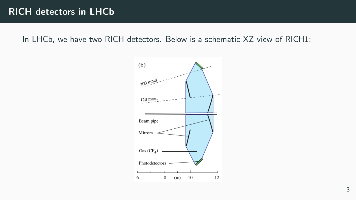In LHCb, we have two RICH detectors. Below is a schematic XZ view of RICH1:

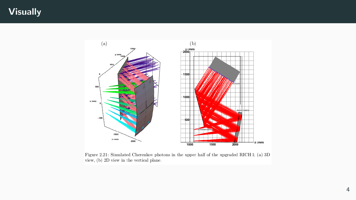### **Visually**



Figure 2.21: Simulated Cherenkov photons in the upper half of the upgraded RICH 1; (a) 3D view, (b) 2D view in the vertical plane.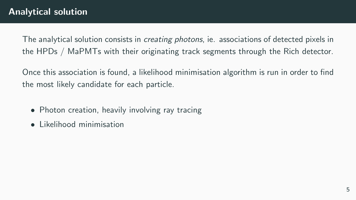The analytical solution consists in *creating photons*, ie. associations of detected pixels in the HPDs / MaPMTs with their originating track segments through the Rich detector.

Once this association is found, a likelihood minimisation algorithm is run in order to find the most likely candidate for each particle.

- Photon creation, heavily involving ray tracing
- Likelihood minimisation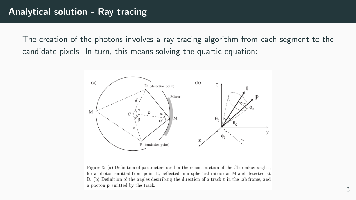The creation of the photons involves a ray tracing algorithm from each segment to the candidate pixels. In turn, this means solving the quartic equation:



Figure 3: (a) Definition of parameters used in the reconstruction of the Cherenkov angles. for a photon emitted from point E, reflected in a spherical mirror at M and detected at D. (b) Definition of the angles describing the direction of a track  $t$  in the lab frame, and a photon p emitted by the track.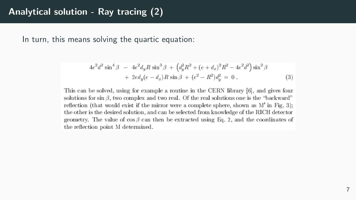In turn, this means solving the quartic equation:

$$
4e^{2}d^{2}\sin^{4}\beta - 4e^{2}d_{y}R\sin^{3}\beta + (d_{y}^{2}R^{2} + (e+d_{x})^{2}R^{2} - 4e^{2}d^{2})\sin^{2}\beta
$$
  
+ 
$$
2ed_{y}(e-d_{x})R\sin\beta + (e^{2} - R^{2})d_{y}^{2} = 0.
$$
 (3)

This can be solved, using for example a routine in the CERN library [6], and gives four solutions for sin  $\beta$ , two complex and two real. Of the real solutions one is the "backward" reflection (that would exist if the mirror were a complete sphere, shown as  $M'$  in Fig. 3); the other is the desired solution, and can be selected from knowledge of the RICH detector geometry. The value of  $\cos \beta$  can then be extracted using Eq. 2, and the coordinates of the reflection point M determined.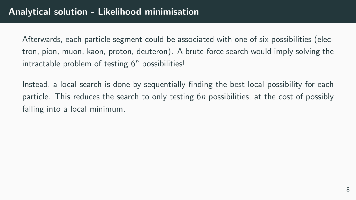Afterwards, each particle segment could be associated with one of six possibilities (electron, pion, muon, kaon, proton, deuteron). A brute-force search would imply solving the intractable problem of testing  $6<sup>n</sup>$  possibilities!

Instead, a local search is done by sequentially finding the best local possibility for each particle. This reduces the search to only testing 6n possibilities, at the cost of possibly falling into a local minimum.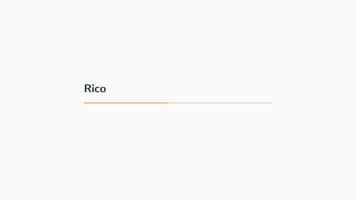## <span id="page-9-0"></span>**[Rico](#page-9-0)**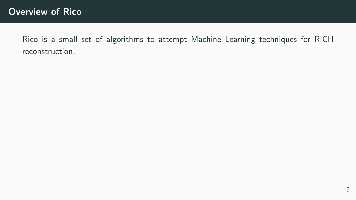Rico is a small set of algorithms to attempt Machine Learning techniques for RICH reconstruction.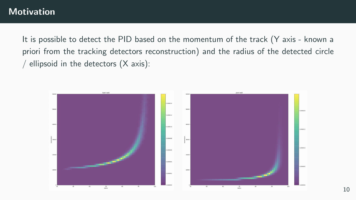It is possible to detect the PID based on the momentum of the track (Y axis - known a priori from the tracking detectors reconstruction) and the radius of the detected circle / ellipsoid in the detectors  $(X axis)$ :

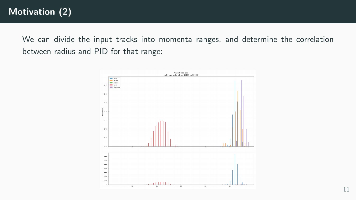We can divide the input tracks into momenta ranges, and determine the correlation between radius and PID for that range:

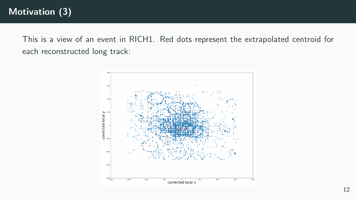This is a view of an event in RICH1. Red dots represent the extrapolated centroid for each reconstructed long track:

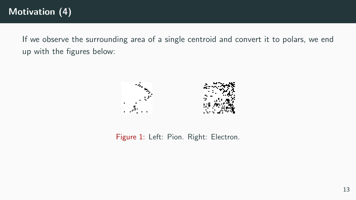If we observe the surrounding area of a single centroid and convert it to polars, we end up with the figures below:



Figure 1: Left: Pion. Right: Electron.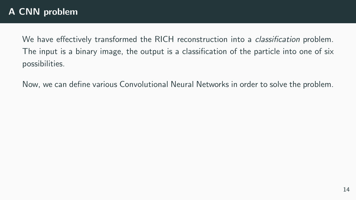We have effectively transformed the RICH reconstruction into a *classification* problem. The input is a binary image, the output is a classification of the particle into one of six possibilities.

Now, we can define various Convolutional Neural Networks in order to solve the problem.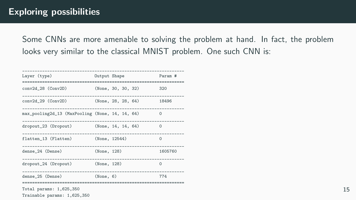Some CNNs are more amenable to solving the problem at hand. In fact, the problem looks very similar to the classical MNIST problem. One such CNN is:

| Layer (type)                                           | Output Shape |                    | Param #  |
|--------------------------------------------------------|--------------|--------------------|----------|
| conv2d_28 (Conv2D)                                     |              | (None, 30, 30, 32) | 320      |
| conv2d_29 (Conv2D) (None, 28, 28, 64)                  |              |                    | 18496    |
| max_pooling2d_13 (MaxPooling (None, 14, 14, 64)        |              |                    | $\Omega$ |
| dropout_23 (Dropout) (None, 14, 14, 64)                |              |                    | $\Omega$ |
| flatten_13 (Flatten) (None, 12544)                     |              |                    | $\Omega$ |
| dense_24 (Dense)                                       | (None, 128)  |                    | 1605760  |
| dropout_24 (Dropout) (None, 128)                       |              |                    | $\Omega$ |
| dense 25 (Dense)                                       | (None, 6)    |                    | 774      |
| Total params: 1,625,350<br>Trainable params: 1,625,350 |              |                    |          |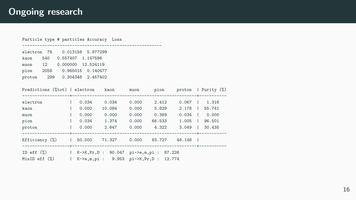### Ongoing research

| $\mathbf{L}$ |                                                                                                                                                                                              |                           |                                                                                                                                                                                 |                                                                                                                                                                                       |
|--------------|----------------------------------------------------------------------------------------------------------------------------------------------------------------------------------------------|---------------------------|---------------------------------------------------------------------------------------------------------------------------------------------------------------------------------|---------------------------------------------------------------------------------------------------------------------------------------------------------------------------------------|
|              |                                                                                                                                                                                              |                           |                                                                                                                                                                                 |                                                                                                                                                                                       |
|              |                                                                                                                                                                                              |                           |                                                                                                                                                                                 |                                                                                                                                                                                       |
|              |                                                                                                                                                                                              |                           |                                                                                                                                                                                 |                                                                                                                                                                                       |
|              |                                                                                                                                                                                              |                           |                                                                                                                                                                                 |                                                                                                                                                                                       |
|              |                                                                                                                                                                                              |                           |                                                                                                                                                                                 |                                                                                                                                                                                       |
|              |                                                                                                                                                                                              |                           |                                                                                                                                                                                 |                                                                                                                                                                                       |
|              | Particle type # particles Accuracy Loss<br>electron 76  0.013158  5.977299<br>0.557407 1.147596<br>muon 12 0.000000 12.524119<br>pion 2058 0.965015 0.140477<br>proton 299 0.304348 2.457402 | $\vert$ 0.034 1.374 0.000 | 0.000 10.084 0.000 5.829<br>$0.000$ $0.000$ $0.000$ $0.369$<br>ID eff (%)   K->K, Pr, D : 90.047 pi->e, m, pi : 87.226<br>MisID eff (%)   K->e,m,pi : 9.953 pi->K,Pr,D : 12.774 | Predictions ("tot)   electron kaon muon pion proton   Purity (",)<br>2.178   55.741<br>$0.034$   0.000<br>66.533 1.005   96.501<br>Efficiency (%)   50.000 71.327 0.000 83.727 48.148 |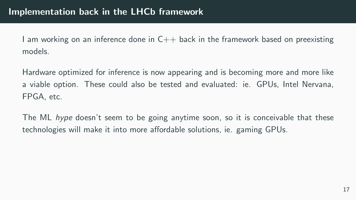I am working on an inference done in  $C_{++}$  back in the framework based on preexisting models.

Hardware optimized for inference is now appearing and is becoming more and more like a viable option. These could also be tested and evaluated: ie. GPUs, Intel Nervana, FPGA, etc.

The ML hype doesn't seem to be going anytime soon, so it is conceivable that these technologies will make it into more affordable solutions, ie. gaming GPUs.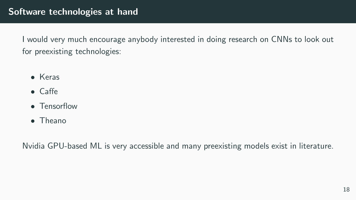I would very much encourage anybody interested in doing research on CNNs to look out for preexisting technologies:

- Keras
- Caffe
- Tensorflow
- Theano

Nvidia GPU-based ML is very accessible and many preexisting models exist in literature.